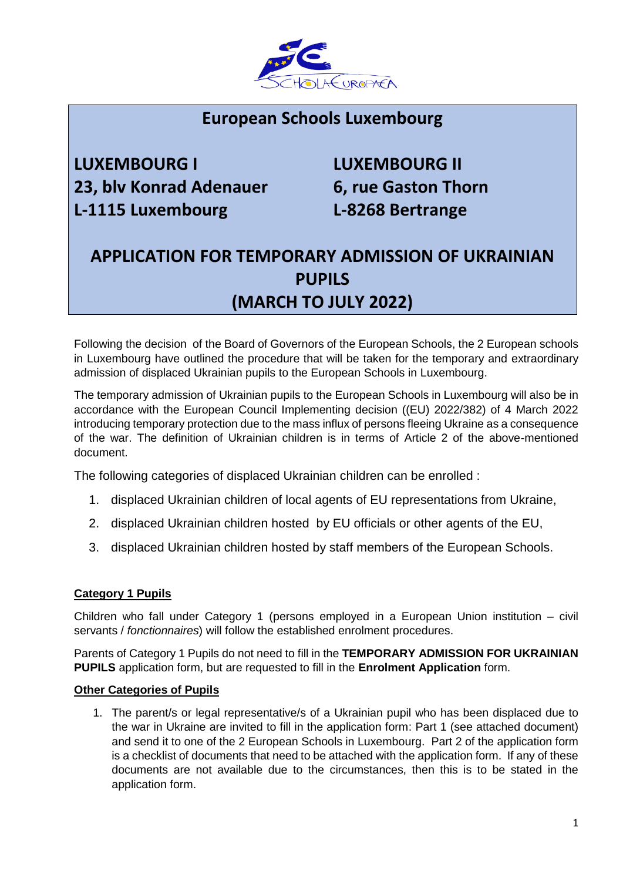

## **European Schools Luxembourg**

# **LUXEMBOURG I LUXEMBOURG II 23, blv Konrad Adenauer 6, rue Gaston Thorn L-1115 Luxembourg L-8268 Bertrange**

# **APPLICATION FOR TEMPORARY ADMISSION OF UKRAINIAN PUPILS (MARCH TO JULY 2022)**

Following the decision of the Board of Governors of the European Schools, the 2 European schools in Luxembourg have outlined the procedure that will be taken for the temporary and extraordinary admission of displaced Ukrainian pupils to the European Schools in Luxembourg.

The temporary admission of Ukrainian pupils to the European Schools in Luxembourg will also be in accordance with the European Council Implementing decision ((EU) 2022/382) of 4 March 2022 introducing temporary protection due to the mass influx of persons fleeing Ukraine as a consequence of the war. The definition of Ukrainian children is in terms of Article 2 of the above-mentioned document.

The following categories of displaced Ukrainian children can be enrolled :

- 1. displaced Ukrainian children of local agents of EU representations from Ukraine,
- 2. displaced Ukrainian children hosted by EU officials or other agents of the EU,
- 3. displaced Ukrainian children hosted by staff members of the European Schools.

#### **Category 1 Pupils**

Children who fall under Category 1 (persons employed in a European Union institution – civil servants / *fonctionnaires*) will follow the established enrolment procedures.

Parents of Category 1 Pupils do not need to fill in the **TEMPORARY ADMISSION FOR UKRAINIAN PUPILS** application form, but are requested to fill in the **Enrolment Application** form.

#### **Other Categories of Pupils**

1. The parent/s or legal representative/s of a Ukrainian pupil who has been displaced due to the war in Ukraine are invited to fill in the application form: Part 1 (see attached document) and send it to one of the 2 European Schools in Luxembourg. Part 2 of the application form is a checklist of documents that need to be attached with the application form. If any of these documents are not available due to the circumstances, then this is to be stated in the application form.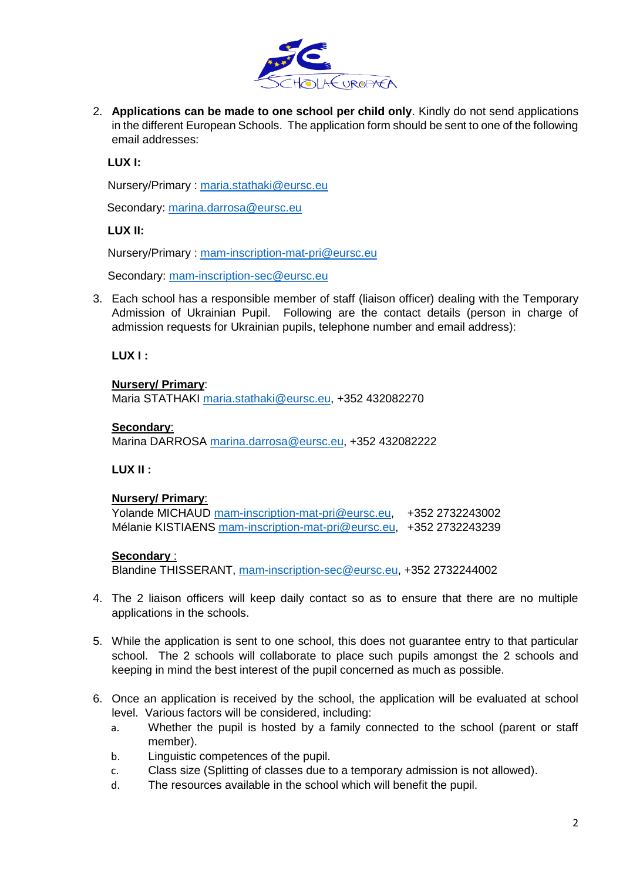

2. **Applications can be made to one school per child only**. Kindly do not send applications in the different European Schools. The application form should be sent to one of the following email addresses:

**LUX I:**

Nursery/Primary : [maria.stathaki@eursc.eu](mailto:maria.stathaki@eursc.eu)

Secondary: [marina.darrosa@eursc.eu](mailto:marina.darrosa@eursc.eu)

#### **LUX II:**

Nursery/Primary : [mam-inscription-mat-pri@eursc.eu](mailto:mam-inscription-mat-pri@eursc.eu)

Secondary: [mam-inscription-sec@eursc.eu](mailto:mam-inscription-sec@eursc.eu)

3. Each school has a responsible member of staff (liaison officer) dealing with the Temporary Admission of Ukrainian Pupil. Following are the contact details (person in charge of admission requests for Ukrainian pupils, telephone number and email address):

**LUX I :**

#### **Nursery/ Primary**:

Maria STATHAKI [maria.stathaki@eursc.eu,](mailto:maria.stathaki@eursc.eu) +352 432082270

#### **Secondary**:

Marina DARROSA [marina.darrosa@eursc.eu,](mailto:marina.darrosa@eursc.eu) +352 432082222

#### **LUX II :**

#### **Nursery/ Primary**:

Yolande MICHAUD [mam-inscription-mat-pri@eursc.eu,](mailto:mam-inscription-mat-pri@eursc.eu) +352 2732243002 Mélanie KISTIAENS [mam-inscription-mat-pri@eursc.eu,](mailto:mam-inscription-mat-pri@eursc.eu) +352 2732243239

#### **Secondary** :

Blandine THISSERANT, [mam-inscription-sec@eursc.eu,](mailto:mam-inscription-sec@eursc.eu) +352 2732244002

- 4. The 2 liaison officers will keep daily contact so as to ensure that there are no multiple applications in the schools.
- 5. While the application is sent to one school, this does not guarantee entry to that particular school. The 2 schools will collaborate to place such pupils amongst the 2 schools and keeping in mind the best interest of the pupil concerned as much as possible.
- 6. Once an application is received by the school, the application will be evaluated at school level. Various factors will be considered, including:
	- a. Whether the pupil is hosted by a family connected to the school (parent or staff member).
	- b. Linguistic competences of the pupil.
	- c. Class size (Splitting of classes due to a temporary admission is not allowed).
	- d. The resources available in the school which will benefit the pupil.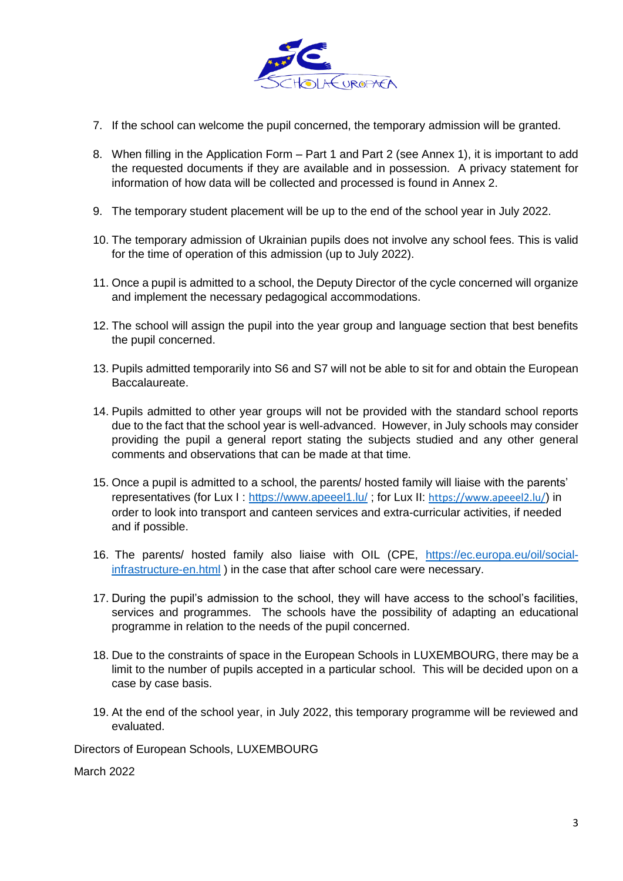

- 7. If the school can welcome the pupil concerned, the temporary admission will be granted.
- 8. When filling in the Application Form Part 1 and Part 2 (see Annex 1), it is important to add the requested documents if they are available and in possession. A privacy statement for information of how data will be collected and processed is found in Annex 2.
- 9. The temporary student placement will be up to the end of the school year in July 2022.
- 10. The temporary admission of Ukrainian pupils does not involve any school fees. This is valid for the time of operation of this admission (up to July 2022).
- 11. Once a pupil is admitted to a school, the Deputy Director of the cycle concerned will organize and implement the necessary pedagogical accommodations.
- 12. The school will assign the pupil into the year group and language section that best benefits the pupil concerned.
- 13. Pupils admitted temporarily into S6 and S7 will not be able to sit for and obtain the European Baccalaureate.
- 14. Pupils admitted to other year groups will not be provided with the standard school reports due to the fact that the school year is well-advanced. However, in July schools may consider providing the pupil a general report stating the subjects studied and any other general comments and observations that can be made at that time.
- 15. Once a pupil is admitted to a school, the parents/ hosted family will liaise with the parents' representatives (for Lux I:<https://www.apeeel1.lu/>; for Lux II: <https://www.apeeel2.lu/>) in order to look into transport and canteen services and extra-curricular activities, if needed and if possible.
- 16. The parents/ hosted family also liaise with OIL (CPE, [https://ec.europa.eu/oil/social](https://ec.europa.eu/oil/social-infrastructure-en.html)[infrastructure-en.html](https://ec.europa.eu/oil/social-infrastructure-en.html) ) in the case that after school care were necessary.
- 17. During the pupil's admission to the school, they will have access to the school's facilities, services and programmes. The schools have the possibility of adapting an educational programme in relation to the needs of the pupil concerned.
- 18. Due to the constraints of space in the European Schools in LUXEMBOURG, there may be a limit to the number of pupils accepted in a particular school. This will be decided upon on a case by case basis.
- 19. At the end of the school year, in July 2022, this temporary programme will be reviewed and evaluated.

Directors of European Schools, LUXEMBOURG

March 2022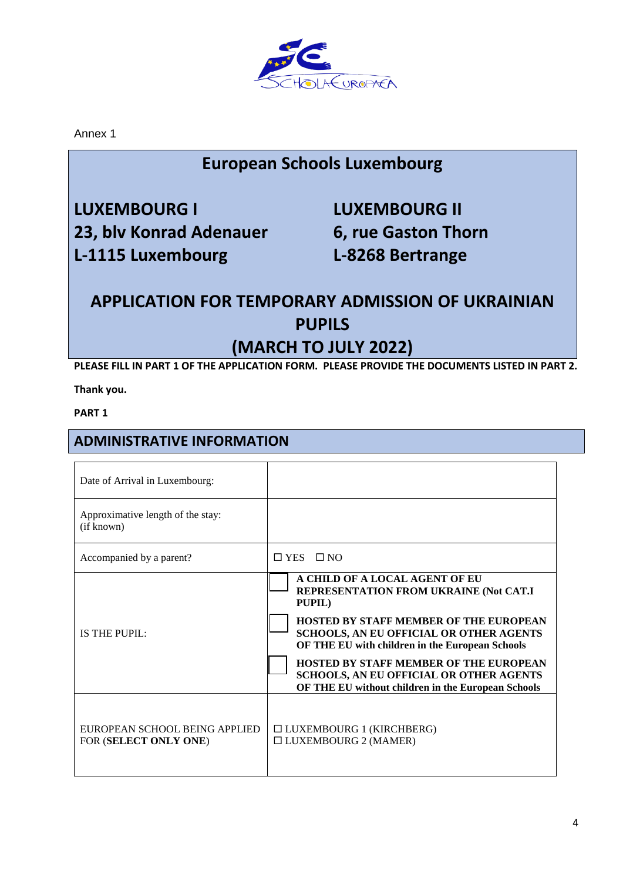

Annex 1

## **European Schools Luxembourg**

**LUXEMBOURG I LUXEMBOURG II 23, blv Konrad Adenauer 6, rue Gaston Thorn L-1115 Luxembourg L-8268 Bertrange**

## **APPLICATION FOR TEMPORARY ADMISSION OF UKRAINIAN PUPILS (MARCH TO JULY 2022)**

**PLEASE FILL IN PART 1 OF THE APPLICATION FORM. PLEASE PROVIDE THE DOCUMENTS LISTED IN PART 2.**

**Thank you.**

**PART 1**

### **ADMINISTRATIVE INFORMATION**

| Date of Arrival in Luxembourg:                         |                                                                                                                                                                                                                                                                                                                                                                                                   |
|--------------------------------------------------------|---------------------------------------------------------------------------------------------------------------------------------------------------------------------------------------------------------------------------------------------------------------------------------------------------------------------------------------------------------------------------------------------------|
| Approximative length of the stay:<br>(if known)        |                                                                                                                                                                                                                                                                                                                                                                                                   |
| Accompanied by a parent?                               | $\Box$ YES $\Box$ NO                                                                                                                                                                                                                                                                                                                                                                              |
| IS THE PUPIL:                                          | A CHILD OF A LOCAL AGENT OF EU<br>REPRESENTATION FROM UKRAINE (Not CAT.I<br>PUPIL)<br><b>HOSTED BY STAFF MEMBER OF THE EUROPEAN</b><br><b>SCHOOLS, AN EU OFFICIAL OR OTHER AGENTS</b><br>OF THE EU with children in the European Schools<br><b>HOSTED BY STAFF MEMBER OF THE EUROPEAN</b><br><b>SCHOOLS, AN EU OFFICIAL OR OTHER AGENTS</b><br>OF THE EU without children in the European Schools |
| EUROPEAN SCHOOL BEING APPLIED<br>FOR (SELECT ONLY ONE) | $\Box$ LUXEMBOURG 1 (KIRCHBERG)<br>$\Box$ LUXEMBOURG 2 (MAMER)                                                                                                                                                                                                                                                                                                                                    |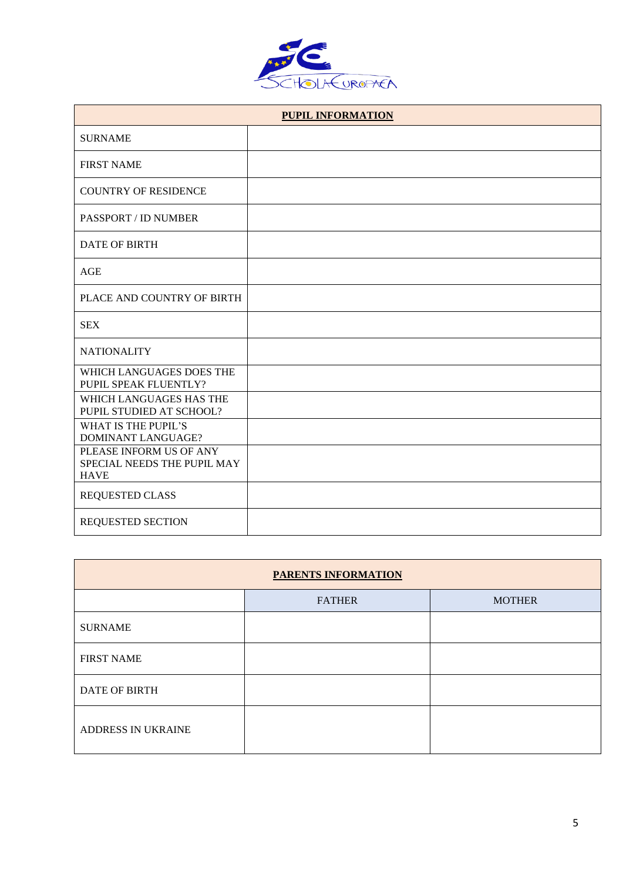

| <b>PUPIL INFORMATION</b>                                              |  |  |
|-----------------------------------------------------------------------|--|--|
| <b>SURNAME</b>                                                        |  |  |
| <b>FIRST NAME</b>                                                     |  |  |
| <b>COUNTRY OF RESIDENCE</b>                                           |  |  |
| PASSPORT / ID NUMBER                                                  |  |  |
| <b>DATE OF BIRTH</b>                                                  |  |  |
| AGE                                                                   |  |  |
| PLACE AND COUNTRY OF BIRTH                                            |  |  |
| <b>SEX</b>                                                            |  |  |
| <b>NATIONALITY</b>                                                    |  |  |
| WHICH LANGUAGES DOES THE<br>PUPIL SPEAK FLUENTLY?                     |  |  |
| WHICH LANGUAGES HAS THE<br>PUPIL STUDIED AT SCHOOL?                   |  |  |
| <b>WHAT IS THE PUPIL'S</b><br><b>DOMINANT LANGUAGE?</b>               |  |  |
| PLEASE INFORM US OF ANY<br>SPECIAL NEEDS THE PUPIL MAY<br><b>HAVE</b> |  |  |
| <b>REQUESTED CLASS</b>                                                |  |  |
| <b>REQUESTED SECTION</b>                                              |  |  |

| <b>PARENTS INFORMATION</b> |               |               |
|----------------------------|---------------|---------------|
|                            | <b>FATHER</b> | <b>MOTHER</b> |
| <b>SURNAME</b>             |               |               |
| <b>FIRST NAME</b>          |               |               |
| <b>DATE OF BIRTH</b>       |               |               |
| ADDRESS IN UKRAINE         |               |               |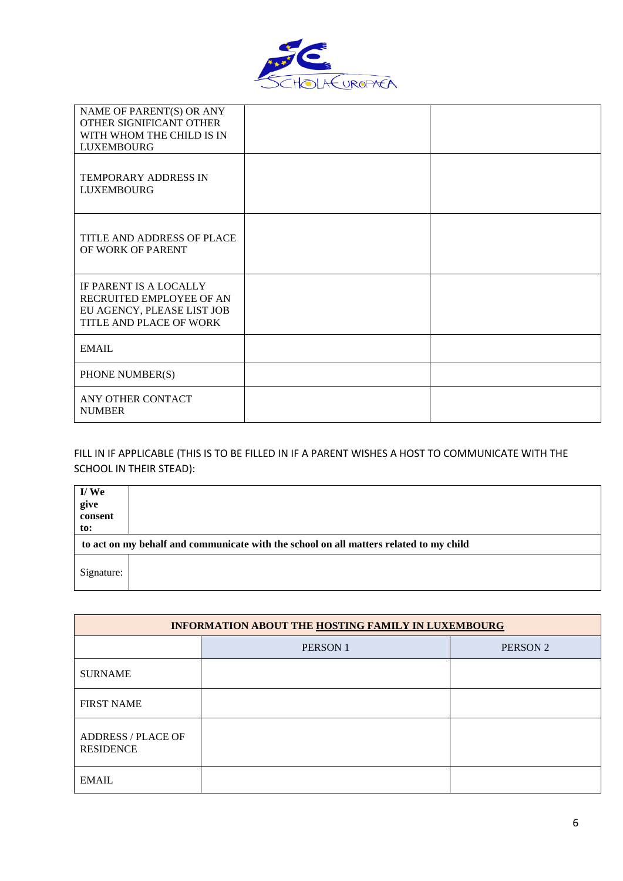

| NAME OF PARENT(S) OR ANY<br>OTHER SIGNIFICANT OTHER<br>WITH WHOM THE CHILD IS IN<br><b>LUXEMBOURG</b><br><b>TEMPORARY ADDRESS IN</b> |  |
|--------------------------------------------------------------------------------------------------------------------------------------|--|
| <b>LUXEMBOURG</b>                                                                                                                    |  |
| TITLE AND ADDRESS OF PLACE<br>OF WORK OF PARENT                                                                                      |  |
| IF PARENT IS A LOCALLY<br>RECRUITED EMPLOYEE OF AN<br>EU AGENCY, PLEASE LIST JOB<br>TITLE AND PLACE OF WORK                          |  |
| <b>EMAIL</b>                                                                                                                         |  |
| PHONE NUMBER(S)                                                                                                                      |  |
| ANY OTHER CONTACT<br><b>NUMBER</b>                                                                                                   |  |

### FILL IN IF APPLICABLE (THIS IS TO BE FILLED IN IF A PARENT WISHES A HOST TO COMMUNICATE WITH THE SCHOOL IN THEIR STEAD):

| I/We<br>give<br>consent<br>to: |                                                                                        |
|--------------------------------|----------------------------------------------------------------------------------------|
|                                | to act on my behalf and communicate with the school on all matters related to my child |
| Signature:                     |                                                                                        |

| INFORMATION ABOUT THE HOSTING FAMILY IN LUXEMBOURG |                |                     |
|----------------------------------------------------|----------------|---------------------|
|                                                    | <b>PERSON1</b> | PERSON <sub>2</sub> |
| <b>SURNAME</b>                                     |                |                     |
| <b>FIRST NAME</b>                                  |                |                     |
| <b>ADDRESS / PLACE OF</b><br><b>RESIDENCE</b>      |                |                     |
| <b>EMAIL</b>                                       |                |                     |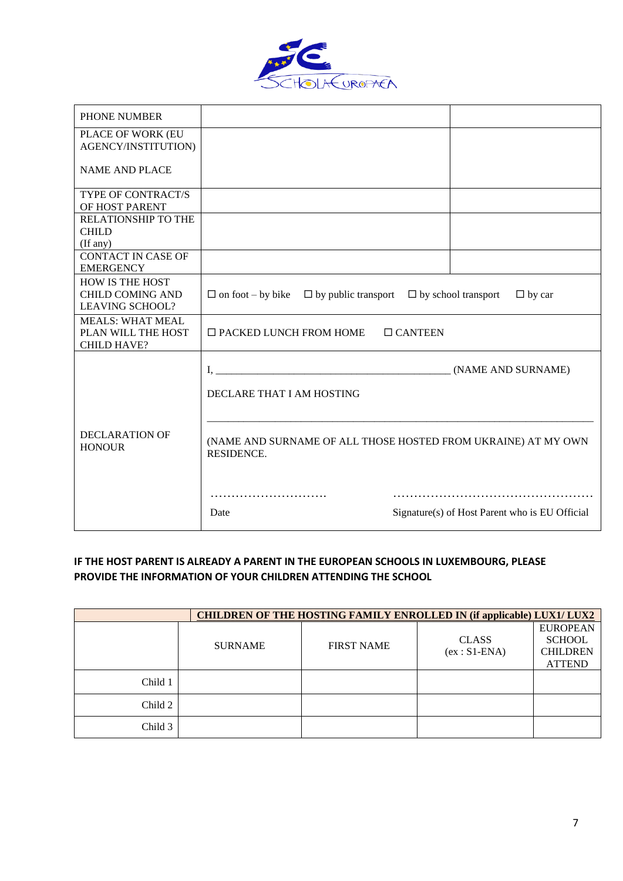

| PHONE NUMBER                                                                |                                                                                    |                                                |
|-----------------------------------------------------------------------------|------------------------------------------------------------------------------------|------------------------------------------------|
| PLACE OF WORK (EU<br>AGENCY/INSTITUTION)                                    |                                                                                    |                                                |
| <b>NAME AND PLACE</b>                                                       |                                                                                    |                                                |
| TYPE OF CONTRACT/S<br>OF HOST PARENT                                        |                                                                                    |                                                |
| RELATIONSHIP TO THE<br><b>CHILD</b><br>(If any)                             |                                                                                    |                                                |
| <b>CONTACT IN CASE OF</b><br><b>EMERGENCY</b>                               |                                                                                    |                                                |
| <b>HOW IS THE HOST</b><br><b>CHILD COMING AND</b><br><b>LEAVING SCHOOL?</b> | $\Box$ on foot – by bike $\Box$ by public transport $\Box$ by school transport     | $\Box$ by car                                  |
| <b>MEALS: WHAT MEAL</b><br>PLAN WILL THE HOST<br><b>CHILD HAVE?</b>         | $\Box$ PACKED LUNCH FROM HOME<br>$\Box$ CANTEEN                                    |                                                |
|                                                                             | DECLARE THAT I AM HOSTING                                                          | (NAME AND SURNAME)                             |
| DECLARATION OF<br><b>HONOUR</b>                                             | (NAME AND SURNAME OF ALL THOSE HOSTED FROM UKRAINE) AT MY OWN<br><b>RESIDENCE.</b> |                                                |
|                                                                             | Date                                                                               | Signature(s) of Host Parent who is EU Official |

#### **IF THE HOST PARENT IS ALREADY A PARENT IN THE EUROPEAN SCHOOLS IN LUXEMBOURG, PLEASE PROVIDE THE INFORMATION OF YOUR CHILDREN ATTENDING THE SCHOOL**

| <b>CHILDREN OF THE HOSTING FAMILY ENROLLED IN (if applicable) LUX1/ LUX2</b> |                |                   |                                |                                                                      |
|------------------------------------------------------------------------------|----------------|-------------------|--------------------------------|----------------------------------------------------------------------|
|                                                                              | <b>SURNAME</b> | <b>FIRST NAME</b> | <b>CLASS</b><br>$(ex: S1-ENA)$ | <b>EUROPEAN</b><br><b>SCHOOL</b><br><b>CHILDREN</b><br><b>ATTEND</b> |
| Child 1                                                                      |                |                   |                                |                                                                      |
| Child 2                                                                      |                |                   |                                |                                                                      |
| Child 3                                                                      |                |                   |                                |                                                                      |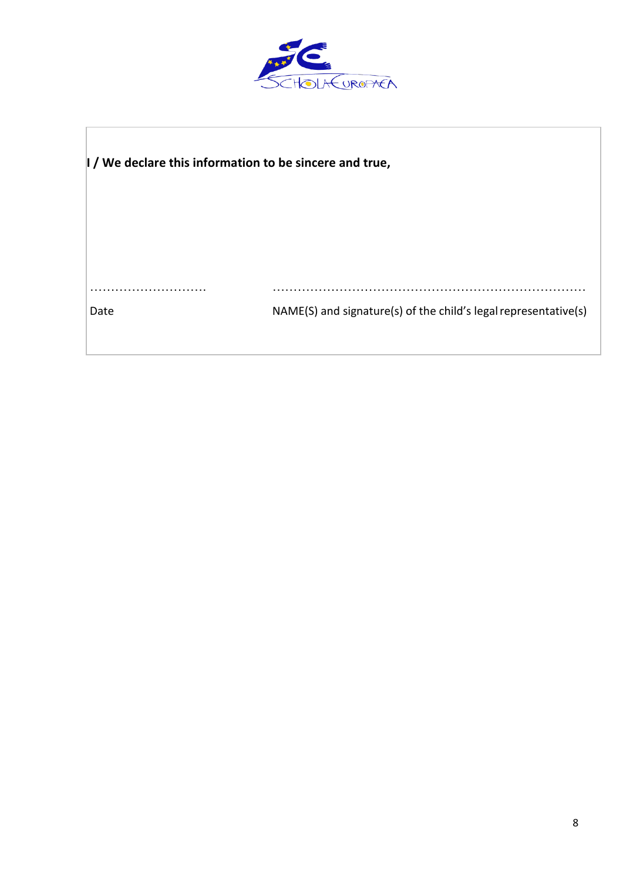

| I / We declare this information to be sincere and true, |                                                                 |  |
|---------------------------------------------------------|-----------------------------------------------------------------|--|
|                                                         |                                                                 |  |
|                                                         |                                                                 |  |
| Date                                                    | NAME(S) and signature(s) of the child's legal representative(s) |  |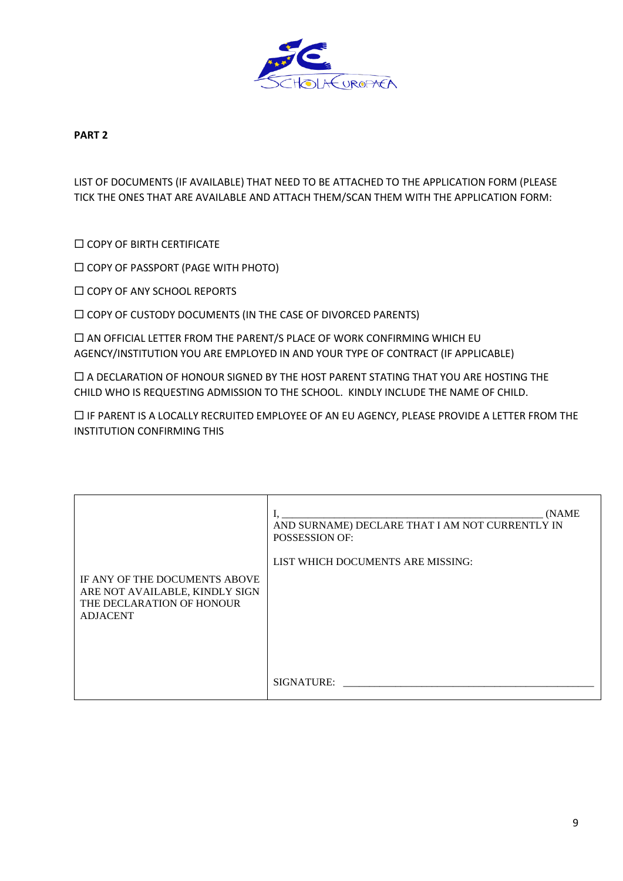

#### **PART 2**

LIST OF DOCUMENTS (IF AVAILABLE) THAT NEED TO BE ATTACHED TO THE APPLICATION FORM (PLEASE TICK THE ONES THAT ARE AVAILABLE AND ATTACH THEM/SCAN THEM WITH THE APPLICATION FORM:

**COPY OF BIRTH CERTIFICATE** 

COPY OF PASSPORT (PAGE WITH PHOTO)

**COPY OF ANY SCHOOL REPORTS** 

 $\square$  COPY OF CUSTODY DOCUMENTS (IN THE CASE OF DIVORCED PARENTS)

 $\Box$  AN OFFICIAL LETTER FROM THE PARENT/S PLACE OF WORK CONFIRMING WHICH EU AGENCY/INSTITUTION YOU ARE EMPLOYED IN AND YOUR TYPE OF CONTRACT (IF APPLICABLE)

 A DECLARATION OF HONOUR SIGNED BY THE HOST PARENT STATING THAT YOU ARE HOSTING THE CHILD WHO IS REQUESTING ADMISSION TO THE SCHOOL. KINDLY INCLUDE THE NAME OF CHILD.

 IF PARENT IS A LOCALLY RECRUITED EMPLOYEE OF AN EU AGENCY, PLEASE PROVIDE A LETTER FROM THE INSTITUTION CONFIRMING THIS

| IF ANY OF THE DOCUMENTS ABOVE  | (NAME)                                          |
|--------------------------------|-------------------------------------------------|
| ARE NOT AVAILABLE, KINDLY SIGN | AND SURNAME) DECLARE THAT I AM NOT CURRENTLY IN |
| THE DECLARATION OF HONOUR      | POSSESSION OF:                                  |
| <b>ADJACENT</b>                | LIST WHICH DOCUMENTS ARE MISSING:               |
|                                | SIGNATURE:                                      |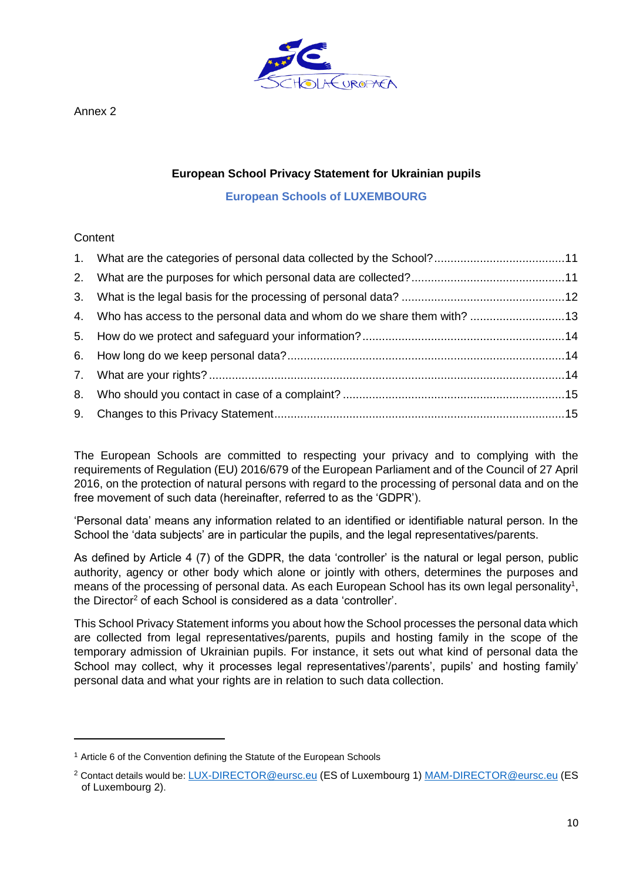

Annex 2

#### **European School Privacy Statement for Ukrainian pupils**

**European Schools of LUXEMBOURG**

#### **Content**

 $\overline{a}$ 

| 4. Who has access to the personal data and whom do we share them with? 13 |  |
|---------------------------------------------------------------------------|--|
|                                                                           |  |
|                                                                           |  |
|                                                                           |  |
|                                                                           |  |
|                                                                           |  |

The European Schools are committed to respecting your privacy and to complying with the requirements of Regulation (EU) 2016/679 of the European Parliament and of the Council of 27 April 2016, on the protection of natural persons with regard to the processing of personal data and on the free movement of such data (hereinafter, referred to as the 'GDPR').

'Personal data' means any information related to an identified or identifiable natural person. In the School the 'data subjects' are in particular the pupils, and the legal representatives/parents.

As defined by Article 4 (7) of the GDPR, the data 'controller' is the natural or legal person, public authority, agency or other body which alone or jointly with others, determines the purposes and means of the processing of personal data. As each European School has its own legal personality<sup>1</sup>, the Director<sup>2</sup> of each School is considered as a data 'controller'.

This School Privacy Statement informs you about how the School processes the personal data which are collected from legal representatives/parents, pupils and hosting family in the scope of the temporary admission of Ukrainian pupils. For instance, it sets out what kind of personal data the School may collect, why it processes legal representatives'/parents', pupils' and hosting family' personal data and what your rights are in relation to such data collection.

<sup>&</sup>lt;sup>1</sup> Article 6 of the Convention defining the Statute of the European Schools

<sup>2</sup> Contact details would be: [LUX-DIRECTOR@eursc.eu](mailto:LUX-DIRECTOR@eursc.eu) (ES of Luxembourg 1) [MAM-DIRECTOR@eursc.eu](mailto:MAM-DIRECTOR@eursc.eu) (ES of Luxembourg 2).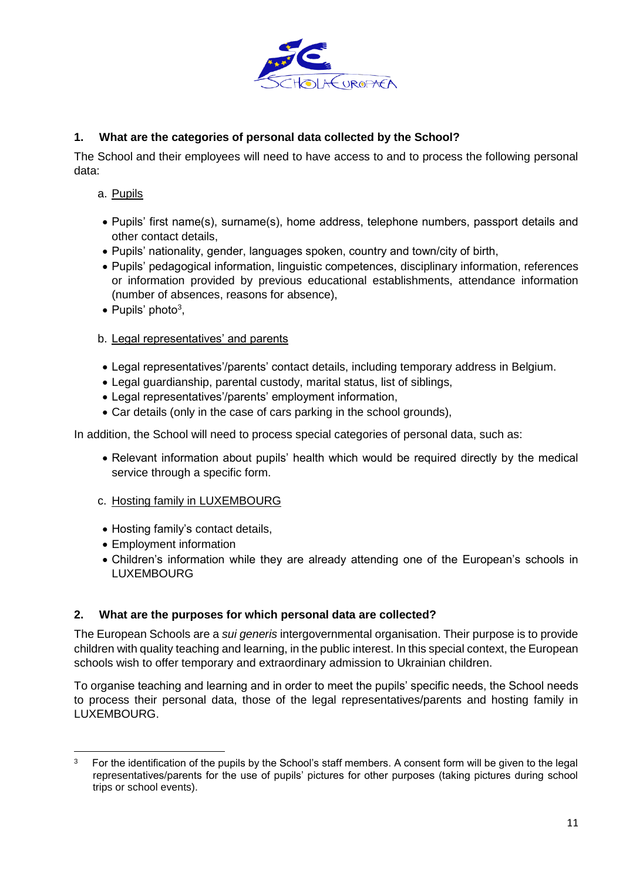

### <span id="page-10-0"></span>**1. What are the categories of personal data collected by the School?**

The School and their employees will need to have access to and to process the following personal data:

- a. Pupils
- Pupils' first name(s), surname(s), home address, telephone numbers, passport details and other contact details,
- Pupils' nationality, gender, languages spoken, country and town/city of birth,
- Pupils' pedagogical information, linguistic competences, disciplinary information, references or information provided by previous educational establishments, attendance information (number of absences, reasons for absence),
- $\bullet$  Pupils' photo<sup>3</sup>,

#### b. Legal representatives' and parents

- Legal representatives'/parents' contact details, including temporary address in Belgium.
- Legal guardianship, parental custody, marital status, list of siblings,
- Legal representatives'/parents' employment information,
- Car details (only in the case of cars parking in the school grounds),

In addition, the School will need to process special categories of personal data, such as:

• Relevant information about pupils' health which would be required directly by the medical service through a specific form.

#### c. Hosting family in LUXEMBOURG

- Hosting family's contact details,
- Employment information
- Children's information while they are already attending one of the European's schools in LUXEMBOURG

#### <span id="page-10-1"></span>**2. What are the purposes for which personal data are collected?**

The European Schools are a *sui generis* intergovernmental organisation. Their purpose is to provide children with quality teaching and learning, in the public interest. In this special context, the European schools wish to offer temporary and extraordinary admission to Ukrainian children.

To organise teaching and learning and in order to meet the pupils' specific needs, the School needs to process their personal data, those of the legal representatives/parents and hosting family in LUXEMBOURG.

 $\overline{a}$ 3 For the identification of the pupils by the School's staff members. A consent form will be given to the legal representatives/parents for the use of pupils' pictures for other purposes (taking pictures during school trips or school events).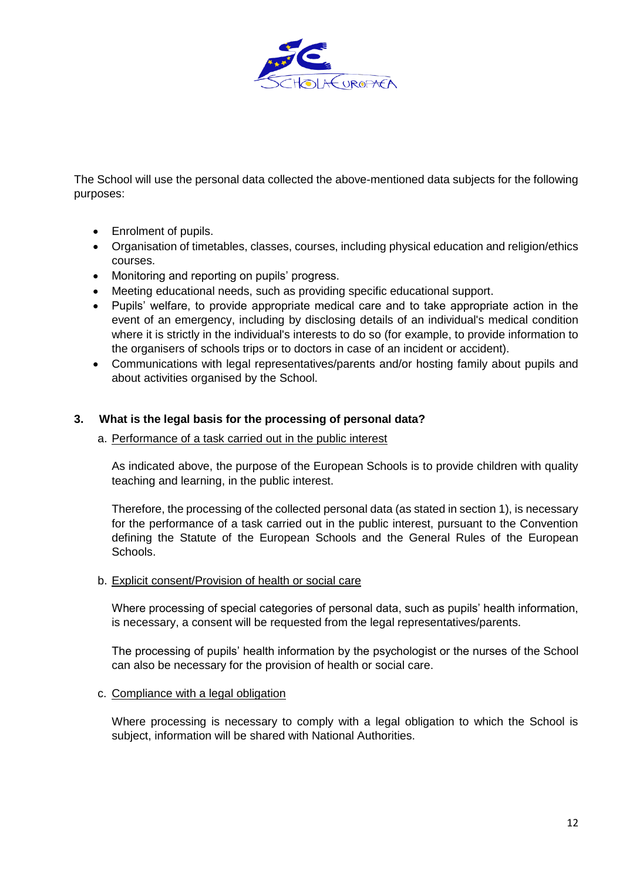

The School will use the personal data collected the above-mentioned data subjects for the following purposes:

- Enrolment of pupils.
- Organisation of timetables, classes, courses, including physical education and religion/ethics courses.
- Monitoring and reporting on pupils' progress.
- Meeting educational needs, such as providing specific educational support.
- Pupils' welfare, to provide appropriate medical care and to take appropriate action in the event of an emergency, including by disclosing details of an individual's medical condition where it is strictly in the individual's interests to do so (for example, to provide information to the organisers of schools trips or to doctors in case of an incident or accident).
- Communications with legal representatives/parents and/or hosting family about pupils and about activities organised by the School.

#### <span id="page-11-0"></span>**3. What is the legal basis for the processing of personal data?**

#### a. Performance of a task carried out in the public interest

As indicated above, the purpose of the European Schools is to provide children with quality teaching and learning, in the public interest.

Therefore, the processing of the collected personal data (as stated in section 1), is necessary for the performance of a task carried out in the public interest, pursuant to the Convention defining the Statute of the European Schools and the General Rules of the European Schools.

#### b. Explicit consent/Provision of health or social care

Where processing of special categories of personal data, such as pupils' health information, is necessary, a consent will be requested from the legal representatives/parents.

The processing of pupils' health information by the psychologist or the nurses of the School can also be necessary for the provision of health or social care.

#### c. Compliance with a legal obligation

Where processing is necessary to comply with a legal obligation to which the School is subject, information will be shared with National Authorities.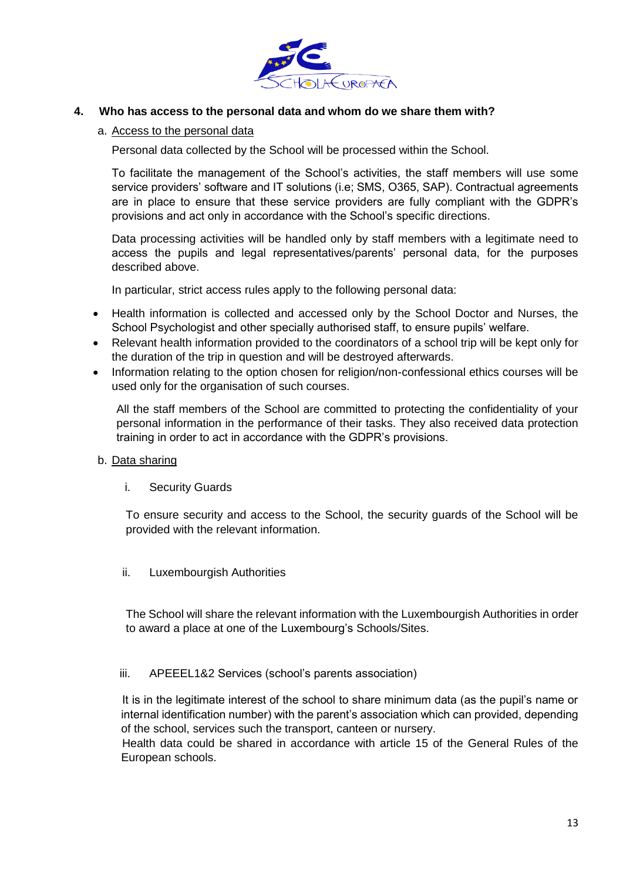

#### <span id="page-12-0"></span>**4. Who has access to the personal data and whom do we share them with?**

#### a. Access to the personal data

Personal data collected by the School will be processed within the School.

To facilitate the management of the School's activities, the staff members will use some service providers' software and IT solutions (i.e; SMS, O365, SAP). Contractual agreements are in place to ensure that these service providers are fully compliant with the GDPR's provisions and act only in accordance with the School's specific directions.

Data processing activities will be handled only by staff members with a legitimate need to access the pupils and legal representatives/parents' personal data, for the purposes described above.

In particular, strict access rules apply to the following personal data:

- Health information is collected and accessed only by the School Doctor and Nurses, the School Psychologist and other specially authorised staff, to ensure pupils' welfare.
- Relevant health information provided to the coordinators of a school trip will be kept only for the duration of the trip in question and will be destroyed afterwards.
- Information relating to the option chosen for religion/non-confessional ethics courses will be used only for the organisation of such courses.

All the staff members of the School are committed to protecting the confidentiality of your personal information in the performance of their tasks. They also received data protection training in order to act in accordance with the GDPR's provisions.

- b. Data sharing
	- i. Security Guards

To ensure security and access to the School, the security guards of the School will be provided with the relevant information.

ii. Luxembourgish Authorities

The School will share the relevant information with the Luxembourgish Authorities in order to award a place at one of the Luxembourg's Schools/Sites.

#### iii. APEEEL1&2 Services (school's parents association)

 It is in the legitimate interest of the school to share minimum data (as the pupil's name or internal identification number) with the parent's association which can provided, depending of the school, services such the transport, canteen or nursery.

 Health data could be shared in accordance with article 15 of the General Rules of the European schools.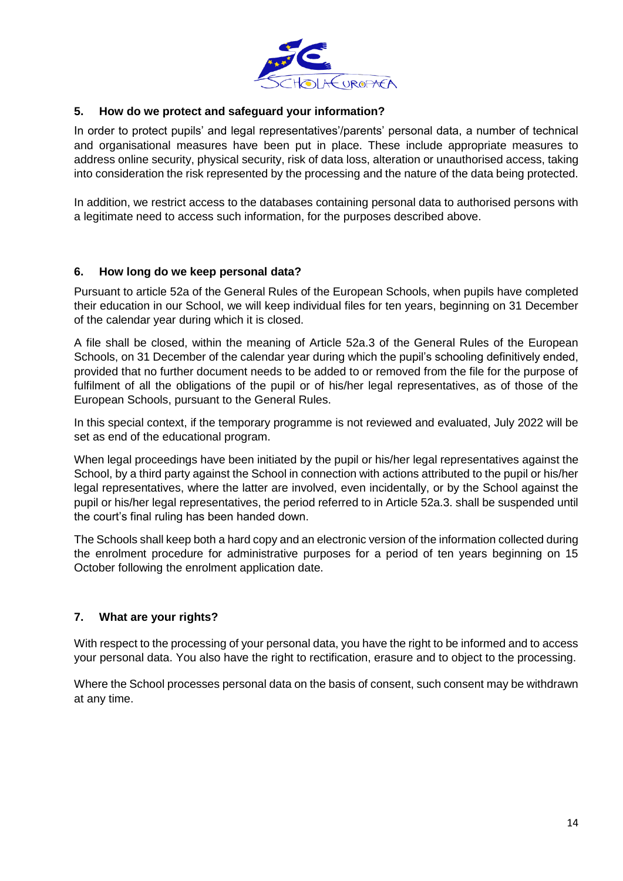

#### <span id="page-13-0"></span>**5. How do we protect and safeguard your information?**

In order to protect pupils' and legal representatives'/parents' personal data, a number of technical and organisational measures have been put in place. These include appropriate measures to address online security, physical security, risk of data loss, alteration or unauthorised access, taking into consideration the risk represented by the processing and the nature of the data being protected.

In addition, we restrict access to the databases containing personal data to authorised persons with a legitimate need to access such information, for the purposes described above.

#### <span id="page-13-1"></span>**6. How long do we keep personal data?**

Pursuant to article 52a of the General Rules of the European Schools, when pupils have completed their education in our School, we will keep individual files for ten years, beginning on 31 December of the calendar year during which it is closed.

A file shall be closed, within the meaning of Article 52a.3 of the General Rules of the European Schools, on 31 December of the calendar year during which the pupil's schooling definitively ended, provided that no further document needs to be added to or removed from the file for the purpose of fulfilment of all the obligations of the pupil or of his/her legal representatives, as of those of the European Schools, pursuant to the General Rules.

In this special context, if the temporary programme is not reviewed and evaluated, July 2022 will be set as end of the educational program.

When legal proceedings have been initiated by the pupil or his/her legal representatives against the School, by a third party against the School in connection with actions attributed to the pupil or his/her legal representatives, where the latter are involved, even incidentally, or by the School against the pupil or his/her legal representatives, the period referred to in Article 52a.3. shall be suspended until the court's final ruling has been handed down.

The Schools shall keep both a hard copy and an electronic version of the information collected during the enrolment procedure for administrative purposes for a period of ten years beginning on 15 October following the enrolment application date.

#### <span id="page-13-2"></span>**7. What are your rights?**

With respect to the processing of your personal data, you have the right to be informed and to access your personal data. You also have the right to rectification, erasure and to object to the processing.

Where the School processes personal data on the basis of consent, such consent may be withdrawn at any time.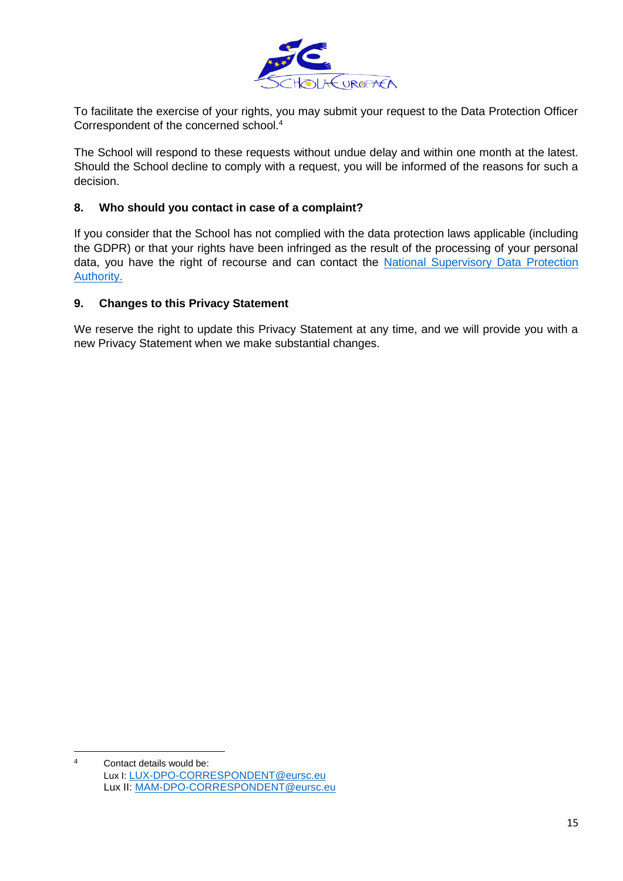

To facilitate the exercise of your rights, you may submit your request to the Data Protection Officer Correspondent of the concerned school.<sup>4</sup>

The School will respond to these requests without undue delay and within one month at the latest. Should the School decline to comply with a request, you will be informed of the reasons for such a decision.

#### <span id="page-14-0"></span>**8. Who should you contact in case of a complaint?**

If you consider that the School has not complied with the data protection laws applicable (including the GDPR) or that your rights have been infringed as the result of the processing of your personal data, you have the right of recourse and can contact the [National Supervisory Data Protection](https://www.dataprotectionauthority.be/)  [Authority.](https://www.dataprotectionauthority.be/)

#### <span id="page-14-1"></span>**9. Changes to this Privacy Statement**

We reserve the right to update this Privacy Statement at any time, and we will provide you with a new Privacy Statement when we make substantial changes.

 $\overline{A}$ Contact details would be: Lux I: [LUX-DPO-CORRESPONDENT@eursc.eu](mailto:LUX-DPO-CORRESPONDENT@eursc.eu) Lux II: [MAM-DPO-CORRESPONDENT@eursc.eu](mailto:MAM-DPO-CORRESPONDENT@eursc.eu)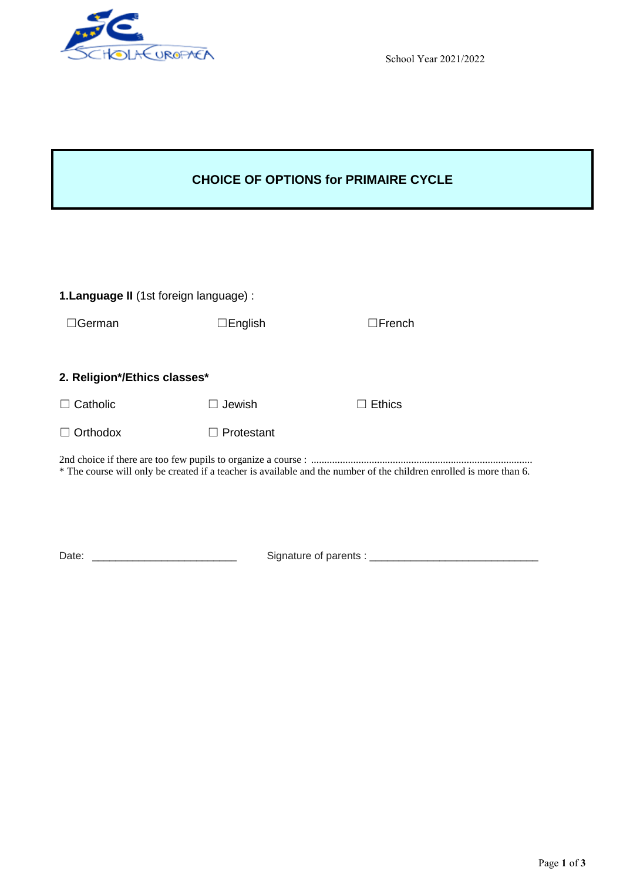

School Year 2021/2022

### **CHOICE OF OPTIONS for PRIMAIRE CYCLE**

| 1. Language II (1st foreign language) : |                                    |                                                                                                                     |  |
|-----------------------------------------|------------------------------------|---------------------------------------------------------------------------------------------------------------------|--|
| German                                  | $\Box$ English                     | $\Box$ French                                                                                                       |  |
|                                         |                                    |                                                                                                                     |  |
| 2. Religion*/Ethics classes*            |                                    |                                                                                                                     |  |
| Catholic                                | Jewish                             | <b>Ethics</b><br>$\mathsf{L}$                                                                                       |  |
| Orthodox                                | Protestant                         |                                                                                                                     |  |
|                                         |                                    | * The course will only be created if a teacher is available and the number of the children enrolled is more than 6. |  |
|                                         |                                    |                                                                                                                     |  |
| Date:                                   | Signature of parents : ___________ |                                                                                                                     |  |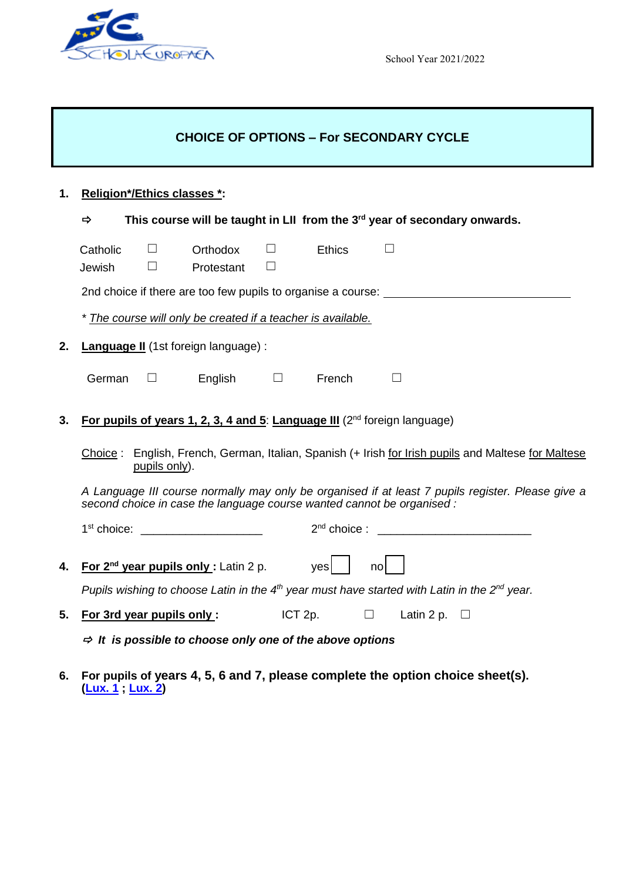

School Year 2021/2022

## **CHOICE OF OPTIONS – For SECONDARY CYCLE**

## **1. Religion\*/Ethics classes \*:**

|    | This course will be taught in LII from the 3 <sup>rd</sup> year of secondary onwards.<br>$\Rightarrow$                                                                      |                                                                                 |                                                                                                                                                                                                                                          |                  |                          |                                                                                  |  |  |  |
|----|-----------------------------------------------------------------------------------------------------------------------------------------------------------------------------|---------------------------------------------------------------------------------|------------------------------------------------------------------------------------------------------------------------------------------------------------------------------------------------------------------------------------------|------------------|--------------------------|----------------------------------------------------------------------------------|--|--|--|
|    | Catholic<br>Jewish                                                                                                                                                          | $\Box$<br>Ш                                                                     | Orthodox<br>Protestant                                                                                                                                                                                                                   | $\Box$<br>$\Box$ | <b>Ethics</b>            |                                                                                  |  |  |  |
|    |                                                                                                                                                                             |                                                                                 |                                                                                                                                                                                                                                          |                  |                          | 2nd choice if there are too few pupils to organise a course: ___________________ |  |  |  |
|    | * The course will only be created if a teacher is available.                                                                                                                |                                                                                 |                                                                                                                                                                                                                                          |                  |                          |                                                                                  |  |  |  |
| 2. |                                                                                                                                                                             |                                                                                 | Language II (1st foreign language) :                                                                                                                                                                                                     |                  |                          |                                                                                  |  |  |  |
|    | German                                                                                                                                                                      | $\Box$                                                                          | English $\Box$                                                                                                                                                                                                                           |                  | French                   |                                                                                  |  |  |  |
| 3. |                                                                                                                                                                             | For pupils of years 1, 2, 3, 4 and 5: Language III ( $2^{nd}$ foreign language) |                                                                                                                                                                                                                                          |                  |                          |                                                                                  |  |  |  |
|    | Choice: English, French, German, Italian, Spanish (+ Irish for Irish pupils and Maltese for Maltese<br>pupils only).                                                        |                                                                                 |                                                                                                                                                                                                                                          |                  |                          |                                                                                  |  |  |  |
|    | A Language III course normally may only be organised if at least 7 pupils register. Please give a<br>second choice in case the language course wanted cannot be organised : |                                                                                 |                                                                                                                                                                                                                                          |                  |                          |                                                                                  |  |  |  |
|    |                                                                                                                                                                             |                                                                                 | 1 <sup>st</sup> choice: the choice of the control of the control of the control of the control of the control of the control of the control of the control of the control of the control of the control of the control of the control of |                  |                          |                                                                                  |  |  |  |
| 4. |                                                                                                                                                                             |                                                                                 | For $2nd$ year pupils only: Latin 2 p.                                                                                                                                                                                                   |                  | yes                      | no                                                                               |  |  |  |
|    | Pupils wishing to choose Latin in the 4 <sup>th</sup> year must have started with Latin in the 2 <sup>nd</sup> year.                                                        |                                                                                 |                                                                                                                                                                                                                                          |                  |                          |                                                                                  |  |  |  |
| 5. | For 3rd year pupils only:                                                                                                                                                   |                                                                                 |                                                                                                                                                                                                                                          | ICT 2p.          | $\overline{\phantom{a}}$ | Latin 2 p.                                                                       |  |  |  |

 $\Rightarrow$  It is possible to choose only one of the above options

**6. For pupils of years 4, 5, 6 and 7, please complete the option choice sheet(s). [\(Lux. 1](http://www.euroschool.lu/site/secondary-choice-of-subjects/) ; [Lux. 2\)](http://www.eel2.eu/sites/default/files/inline-files/2021_2022_S3_Choiceform%20for%20S4_EN_0.pdf)**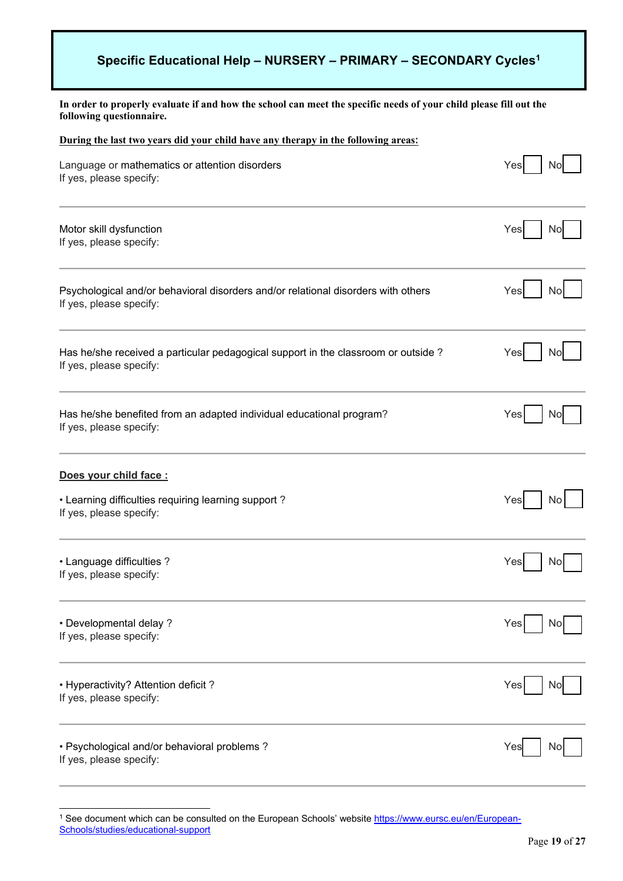### **Specific Educational Help – NURSERY – PRIMARY – SECONDARY Cycles1**

**In order to properly evaluate if and how the school can meet the specific needs of your child please fill out the following questionnaire.**

| During the last two years did your child have any therapy in the following areas: |     |  |  |  |
|-----------------------------------------------------------------------------------|-----|--|--|--|
| Language or mathematics or attention disorders                                    | Yes |  |  |  |
| If yes, please specify:                                                           | NC  |  |  |  |
| Motor skill dysfunction                                                           | Yes |  |  |  |
| If yes, please specify:                                                           | No  |  |  |  |
| Psychological and/or behavioral disorders and/or relational disorders with others | Yes |  |  |  |
| If yes, please specify:                                                           | Nc  |  |  |  |
| Has he/she received a particular pedagogical support in the classroom or outside? | Yes |  |  |  |
| If yes, please specify:                                                           | NC  |  |  |  |
| Has he/she benefited from an adapted individual educational program?              | Yes |  |  |  |
| If yes, please specify:                                                           | No  |  |  |  |
| Does your child face :                                                            |     |  |  |  |
| • Learning difficulties requiring learning support?                               | Yes |  |  |  |
| If yes, please specify:                                                           | No  |  |  |  |
| • Language difficulties?                                                          | Yes |  |  |  |
| If yes, please specify:                                                           | No  |  |  |  |
| • Developmental delay?<br>If yes, please specify:                                 | Yes |  |  |  |
| • Hyperactivity? Attention deficit?<br>If yes, please specify:                    | Yes |  |  |  |
| • Psychological and/or behavioral problems?                                       | Yes |  |  |  |
| If yes, please specify:                                                           | ΝC  |  |  |  |

 $\overline{a}$ <sup>1</sup> See document which can be consulted on the European Schools' website <u>https://www.eursc.eu/en/European-</u> [Schools/studies/educational-support](https://www.eursc.eu/en/European-Schools/studies/educational-support)